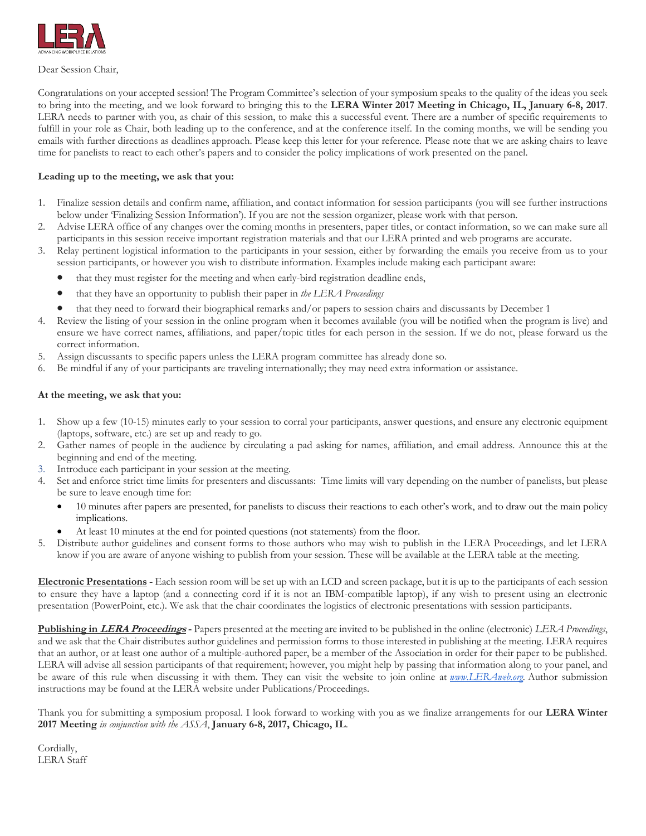

Dear Session Chair,

Congratulations on your accepted session! The Program Committee's selection of your symposium speaks to the quality of the ideas you seek to bring into the meeting, and we look forward to bringing this to the **LERA Winter 2017 Meeting in Chicago, IL, January 6-8, 2017**. LERA needs to partner with you, as chair of this session, to make this a successful event. There are a number of specific requirements to fulfill in your role as Chair, both leading up to the conference, and at the conference itself. In the coming months, we will be sending you emails with further directions as deadlines approach. Please keep this letter for your reference. Please note that we are asking chairs to leave time for panelists to react to each other's papers and to consider the policy implications of work presented on the panel.

## **Leading up to the meeting, we ask that you:**

- 1. Finalize session details and confirm name, affiliation, and contact information for session participants (you will see further instructions below under 'Finalizing Session Information'). If you are not the session organizer, please work with that person.
- 2. Advise LERA office of any changes over the coming months in presenters, paper titles, or contact information, so we can make sure all participants in this session receive important registration materials and that our LERA printed and web programs are accurate.
- 3. Relay pertinent logistical information to the participants in your session, either by forwarding the emails you receive from us to your session participants, or however you wish to distribute information. Examples include making each participant aware:
	- that they must register for the meeting and when early-bird registration deadline ends,
	- that they have an opportunity to publish their paper in *the LERA Proceedings*
	- that they need to forward their biographical remarks and/or papers to session chairs and discussants by December 1
- 4. Review the listing of your session in the online program when it becomes available (you will be notified when the program is live) and ensure we have correct names, affiliations, and paper/topic titles for each person in the session. If we do not, please forward us the correct information.
- 5. Assign discussants to specific papers unless the LERA program committee has already done so.
- 6. Be mindful if any of your participants are traveling internationally; they may need extra information or assistance.

#### **At the meeting, we ask that you:**

- 1. Show up a few (10-15) minutes early to your session to corral your participants, answer questions, and ensure any electronic equipment (laptops, software, etc.) are set up and ready to go.
- 2. Gather names of people in the audience by circulating a pad asking for names, affiliation, and email address. Announce this at the beginning and end of the meeting.
- 3. Introduce each participant in your session at the meeting.
- 4. Set and enforce strict time limits for presenters and discussants: Time limits will vary depending on the number of panelists, but please be sure to leave enough time for:
	- 10 minutes after papers are presented, for panelists to discuss their reactions to each other's work, and to draw out the main policy implications.
	- At least 10 minutes at the end for pointed questions (not statements) from the floor.
- 5. Distribute author guidelines and consent forms to those authors who may wish to publish in the LERA Proceedings, and let LERA know if you are aware of anyone wishing to publish from your session. These will be available at the LERA table at the meeting.

**Electronic Presentations -** Each session room will be set up with an LCD and screen package, but it is up to the participants of each session to ensure they have a laptop (and a connecting cord if it is not an IBM-compatible laptop), if any wish to present using an electronic presentation (PowerPoint, etc.). We ask that the chair coordinates the logistics of electronic presentations with session participants.

**Publishing in LERA Proceedings -** Papers presented at the meeting are invited to be published in the online (electronic) *LERA Proceedings*, and we ask that the Chair distributes author guidelines and permission forms to those interested in publishing at the meeting. LERA requires that an author, or at least one author of a multiple-authored paper, be a member of the Association in order for their paper to be published. LERA will advise all session participants of that requirement; however, you might help by passing that information along to your panel, and be aware of this rule when discussing it with them. They can visit the website to join online at *[www.LERAweb.org.](http://www.leraweb.org/)* Author submission instructions may be found at the LERA website under Publications/Proceedings.

Thank you for submitting a symposium proposal. I look forward to working with you as we finalize arrangements for our **LERA Winter 2017 Meeting** *in conjunction with the ASSA*, **January 6-8, 2017, Chicago, IL**.

Cordially, LERA Staff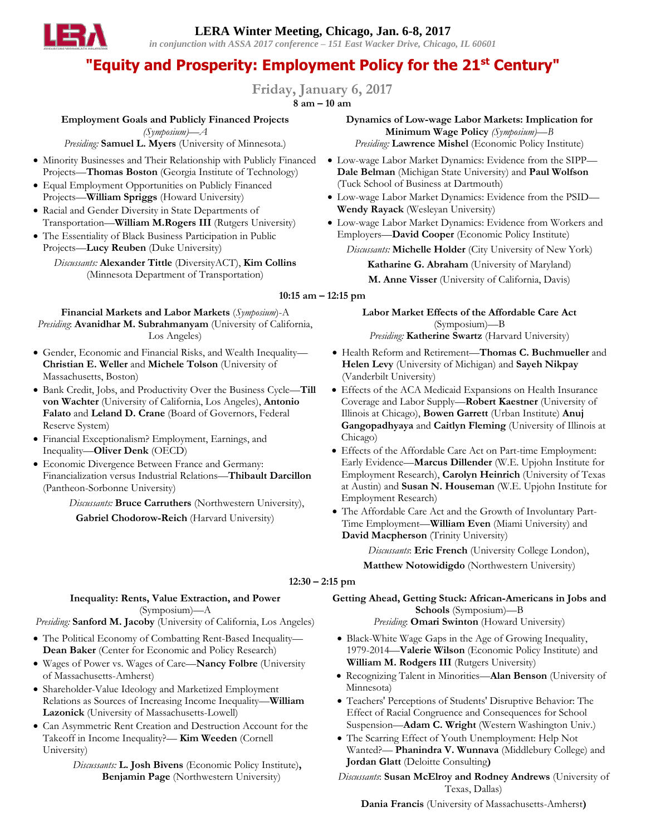**LERA Winter Meeting, Chicago, Jan. 6-8, 2017** *in conjunction with ASSA 2017 conference – 151 East Wacker Drive, Chicago, IL 60601*

# **"Equity and Prosperity: Employment Policy for the 21st Century"**

**Friday, January 6, 2017**

**8 am – 10 am**

### **Employment Goals and Publicly Financed Projects**

*(Symposium)—A Presiding:* **Samuel L. Myers** (University of Minnesota.)

- Minority Businesses and Their Relationship with Publicly Financed Projects—**Thomas Boston** (Georgia Institute of Technology)
- Equal Employment Opportunities on Publicly Financed Projects—**William Spriggs** (Howard University)
- Racial and Gender Diversity in State Departments of Transportation—**William M.Rogers III** (Rutgers University)
- The Essentiality of Black Business Participation in Public Projects—**Lucy Reuben** (Duke University)

*Discussants:* **Alexander Tittle** (DiversityACT), **Kim Collins** (Minnesota Department of Transportation)

**Financial Markets and Labor Markets** (*Symposium*)-A *Presiding*: **Avanidhar M. Subrahmanyam** (University of California, Los Angeles)

- Gender, Economic and Financial Risks, and Wealth Inequality— **Christian E. Weller** and **Michele Tolson** (University of Massachusetts, Boston)
- Bank Credit, Jobs, and Productivity Over the Business Cycle—**Till von Wachter** (University of California, Los Angeles), **Antonio Falato** and **Leland D. Crane** (Board of Governors, Federal Reserve System)
- Financial Exceptionalism? Employment, Earnings, and Inequality—**Oliver Denk** (OECD)
- Economic Divergence Between France and Germany: Financialization versus Industrial Relations—**Thibault Darcillon** (Pantheon-Sorbonne University)

*Discussants:* **Bruce Carruthers** (Northwestern University), **Gabriel Chodorow-Reich** (Harvard University)

**Dynamics of Low-wage Labor Markets: Implication for Minimum Wage Policy** *(Symposium)—B Presiding:* **Lawrence Mishel** (Economic Policy Institute)

- Low-wage Labor Market Dynamics: Evidence from the SIPP— **Dale Belman** (Michigan State University) and **Paul Wolfson** (Tuck School of Business at Dartmouth)
- Low-wage Labor Market Dynamics: Evidence from the PSID— **Wendy Rayack** (Wesleyan University)
- Low-wage Labor Market Dynamics: Evidence from Workers and Employers—**David Cooper** (Economic Policy Institute)

*Discussants:* **Michelle Holder** (City University of New York) **Katharine G. Abraham** (University of Maryland)

**M. Anne Visser** (University of California, Davis)

### **10:15 am – 12:15 pm**

**Labor Market Effects of the Affordable Care Act**  (Symposium)—B *Presiding:* **Katherine Swartz** (Harvard University)

- Health Reform and Retirement—**Thomas C. Buchmueller** and **Helen Levy** (University of Michigan) and **Sayeh Nikpay** (Vanderbilt University)
- Effects of the ACA Medicaid Expansions on Health Insurance Coverage and Labor Supply—**Robert Kaestner** (University of Illinois at Chicago), **Bowen Garrett** (Urban Institute) **Anuj Gangopadhyaya** and **Caitlyn Fleming** (University of Illinois at Chicago)
- Effects of the Affordable Care Act on Part-time Employment: Early Evidence—**Marcus Dillender** (W.E. Upjohn Institute for Employment Research), **Carolyn Heinrich** (University of Texas at Austin) and **Susan N. Houseman** (W.E. Upjohn Institute for Employment Research)
- The Affordable Care Act and the Growth of Involuntary Part-Time Employment—**William Even** (Miami University) and **David Macpherson** (Trinity University)

*Discussants*: **Eric French** (University College London),

**Matthew Notowidigdo** (Northwestern University)

#### **12:30 – 2:15 pm**

## **Inequality: Rents, Value Extraction, and Power**  (Symposium)—A

*Presiding:* **Sanford M. Jacoby** (University of California, Los Angeles)

- The Political Economy of Combatting Rent-Based Inequality— **Dean Baker** (Center for Economic and Policy Research)
- Wages of Power vs. Wages of Care—**Nancy Folbre** (University of Massachusetts-Amherst)
- Shareholder-Value Ideology and Marketized Employment Relations as Sources of Increasing Income Inequality—**William Lazonick** (University of Massachusetts-Lowell)
- Can Asymmetric Rent Creation and Destruction Account for the Takeoff in Income Inequality?— **Kim Weeden** (Cornell University)
	- *Discussants:* **L. Josh Bivens** (Economic Policy Institute)**, Benjamin Page** (Northwestern University)

**Getting Ahead, Getting Stuck: African-Americans in Jobs and Schools** (Symposium)—B

*Presiding*: **Omari Swinton** (Howard University)

- Black-White Wage Gaps in the Age of Growing Inequality, 1979-2014—**Valerie Wilson** (Economic Policy Institute) and **William M. Rodgers III** (Rutgers University)
- Recognizing Talent in Minorities—**Alan Benson** (University of Minnesota)
- Teachers' Perceptions of Students' Disruptive Behavior: The Effect of Racial Congruence and Consequences for School Suspension—**Adam C. Wright** (Western Washington Univ.)
- The Scarring Effect of Youth Unemployment: Help Not Wanted?— **Phanindra V. Wunnava** (Middlebury College) and **Jordan Glatt** (Deloitte Consulting**)**

*Discussants*: **Susan McElroy and Rodney Andrews** (University of Texas, Dallas)

**Dania Francis** (University of Massachusetts-Amherst**)**

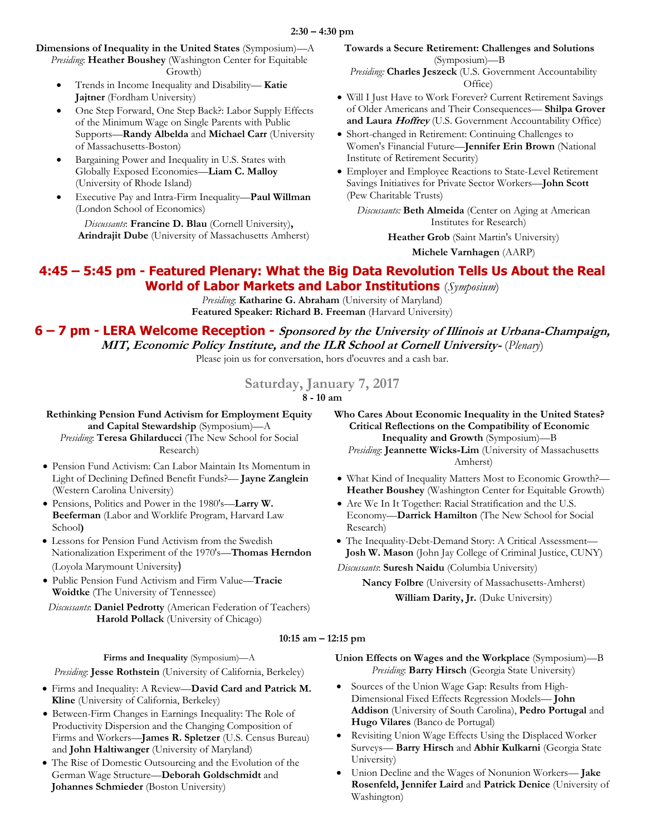**Dimensions of Inequality in the United States** (Symposium)—A *Presiding*: **Heather Boushey** (Washington Center for Equitable Growth)

- Trends in Income Inequality and Disability— **Katie Jajtner** (Fordham University)
- One Step Forward, One Step Back?: Labor Supply Effects of the Minimum Wage on Single Parents with Public Supports—**Randy Albelda** and **Michael Carr** (University of Massachusetts-Boston)
- Bargaining Power and Inequality in U.S. States with Globally Exposed Economies—**Liam C. Malloy** (University of Rhode Island)
- Executive Pay and Intra-Firm Inequality—**Paul Willman** (London School of Economics)

*Discussants*: **Francine D. Blau** (Cornell University)**, Arindrajit Dube** (University of Massachusetts Amherst) **Towards a Secure Retirement: Challenges and Solutions**  (Symposium)—B *Presiding:* **Charles Jeszeck** (U.S. Government Accountability

- Office) Will I Just Have to Work Forever? Current Retirement Savings of Older Americans and Their Consequences— **Shilpa Grover and Laura Hoffrey** (U.S. Government Accountability Office)
- Short-changed in Retirement: Continuing Challenges to Women's Financial Future—**Jennifer Erin Brown** (National Institute of Retirement Security)
- Employer and Employee Reactions to State-Level Retirement Savings Initiatives for Private Sector Workers—**John Scott** (Pew Charitable Trusts)

*Discussants:* **Beth Almeida** (Center on Aging at American Institutes for Research)

**Heather Grob** (Saint Martin's University)

**Michele Varnhagen** (AARP)

# **4:45 – 5:45 pm - Featured Plenary: What the Big Data Revolution Tells Us About the Real World of Labor Markets and Labor Institutions** (*Symposium*)

*Presiding*: **Katharine G. Abraham** (University of Maryland) **Featured Speaker: Richard B. Freeman** (Harvard University)

**6 – 7 pm - LERA Welcome Reception - Sponsored by the University of Illinois at Urbana-Champaign, MIT, Economic Policy Institute, and the ILR School at Cornell University-** (*Plenary*)

Please join us for conversation, hors d'oeuvres and a cash bar.

**Saturday, January 7, 2017**

**8 - 10 am**

**Rethinking Pension Fund Activism for Employment Equity** 

**and Capital Stewardship** (Symposium)—A *Presiding*: **Teresa Ghilarducci** (The New School for Social Research)

- Pension Fund Activism: Can Labor Maintain Its Momentum in Light of Declining Defined Benefit Funds?— **Jayne Zanglein** (Western Carolina University)
- Pensions, Politics and Power in the 1980's—**Larry W. Beeferman** (Labor and Worklife Program, Harvard Law School**)**
- Lessons for Pension Fund Activism from the Swedish Nationalization Experiment of the 1970's—**Thomas Herndon** (Loyola Marymount University)
- Public Pension Fund Activism and Firm Value—**Tracie Woidtke** (The University of Tennessee)

*Discussants*: **Daniel Pedrotty** (American Federation of Teachers) **Harold Pollack** (University of Chicago)

- **Who Cares About Economic Inequality in the United States? Critical Reflections on the Compatibility of Economic Inequality and Growth** (Symposium)—B *Presiding*: **Jeannette Wicks-Lim** (University of Massachusetts Amherst)
- What Kind of Inequality Matters Most to Economic Growth?— **Heather Boushey** (Washington Center for Equitable Growth)
- Are We In It Together: Racial Stratification and the U.S. Economy—**Darrick Hamilton** (The New School for Social Research)
- The Inequality-Debt-Demand Story: A Critical Assessment— **Josh W. Mason** (John Jay College of Criminal Justice, CUNY)

*Discussants*: **Suresh Naidu** (Columbia University)

**Nancy Folbre** (University of Massachusetts-Amherst) **William Darity, Jr.** (Duke University)

# **10:15 am – 12:15 pm**

**Firms and Inequality** (Symposium)—A

*Presiding*: **Jesse Rothstein** (University of California, Berkeley)

- Firms and Inequality: A Review—**David Card and Patrick M. Kline** (University of California, Berkeley)
- Between-Firm Changes in Earnings Inequality: The Role of Productivity Dispersion and the Changing Composition of Firms and Workers—**James R. Spletzer** (U.S. Census Bureau) and **John Haltiwanger** (University of Maryland)
- The Rise of Domestic Outsourcing and the Evolution of the German Wage Structure—**Deborah Goldschmidt** and **Johannes Schmieder** (Boston University)

**Union Effects on Wages and the Workplace** (Symposium)—B *Presiding*: **Barry Hirsch** (Georgia State University)

- Sources of the Union Wage Gap: Results from High-Dimensional Fixed Effects Regression Models— **John Addison** (University of South Carolina), **Pedro Portugal** and **Hugo Vilares** (Banco de Portugal)
- Revisiting Union Wage Effects Using the Displaced Worker Surveys— **Barry Hirsch** and **Abhir Kulkarni** (Georgia State University)
- Union Decline and the Wages of Nonunion Workers— **Jake Rosenfeld, Jennifer Laird** and **Patrick Denice** (University of Washington)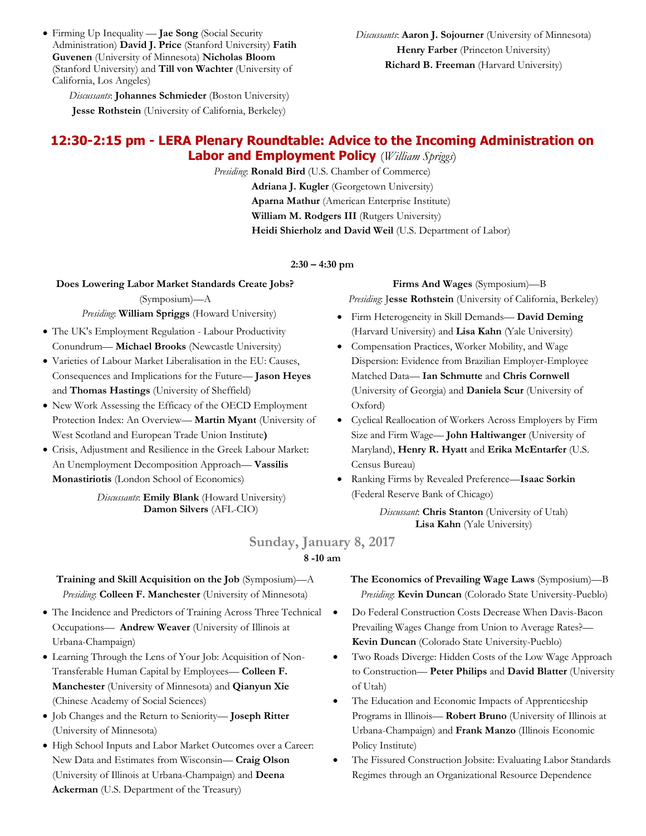Firming Up Inequality — **Jae Song** (Social Security Administration) **David J. Price** (Stanford University) **Fatih Guvenen** (University of Minnesota) **Nicholas Bloom** (Stanford University) and **Till von Wachter** (University of California, Los Angeles)

*Discussants*: **Johannes Schmieder** (Boston University) **Jesse Rothstein** (University of California, Berkeley)

# **12:30-2:15 pm - LERA Plenary Roundtable: Advice to the Incoming Administration on Labor and Employment Policy** (*William Spriggs*)

*Presiding*: **Ronald Bird** (U.S. Chamber of Commerce) Adriana J. Kugler (Georgetown University) **Aparna Mathur** (American Enterprise Institute) **William M. Rodgers III** (Rutgers University) **Heidi Shierholz and David Weil** (U.S. Department of Labor)

#### **2:30 – 4:30 pm**

# **Does Lowering Labor Market Standards Create Jobs?**

## (Symposium)—A *Presiding*: **William Spriggs** (Howard University)

- The UK's Employment Regulation Labour Productivity Conundrum— **Michael Brooks** (Newcastle University)
- Varieties of Labour Market Liberalisation in the EU: Causes, Consequences and Implications for the Future— **Jason Heyes** and **Thomas Hastings** (University of Sheffield)
- New Work Assessing the Efficacy of the OECD Employment Protection Index: An Overview— **Martin Myant** (University of West Scotland and European Trade Union Institute**)**
- Crisis, Adjustment and Resilience in the Greek Labour Market: An Unemployment Decomposition Approach— **Vassilis Monastiriotis** (London School of Economics)

*Discussants*: **Emily Blank** (Howard University) **Damon Silvers** (AFL-CIO)

**Firms And Wages** (Symposium)—B *Presiding*: J**esse Rothstein** (University of California, Berkeley)

- Firm Heterogeneity in Skill Demands— **David Deming**  (Harvard University) and **Lisa Kahn** (Yale University)
- Compensation Practices, Worker Mobility, and Wage Dispersion: Evidence from Brazilian Employer-Employee Matched Data— **Ian Schmutte** and **Chris Cornwell**  (University of Georgia) and **Daniela Scur** (University of Oxford)
- Cyclical Reallocation of Workers Across Employers by Firm Size and Firm Wage— **John Haltiwanger** (University of Maryland), **Henry R. Hyatt** and **Erika McEntarfer** (U.S. Census Bureau)
- Ranking Firms by Revealed Preference—**Isaac Sorkin** (Federal Reserve Bank of Chicago)

*Discussant*: **Chris Stanton** (University of Utah) **Lisa Kahn** (Yale University)

# **Sunday, January 8, 2017 8 -10 am**

# **Training and Skill Acquisition on the Job** (Symposium)—A *Presiding*: **Colleen F. Manchester** (University of Minnesota)

- The Incidence and Predictors of Training Across Three Technical Occupations— **Andrew Weaver** (University of Illinois at Urbana-Champaign)
- Learning Through the Lens of Your Job: Acquisition of Non-Transferable Human Capital by Employees— **Colleen F. Manchester** (University of Minnesota) and **Qianyun Xie**  (Chinese Academy of Social Sciences)
- Job Changes and the Return to Seniority— **Joseph Ritter** (University of Minnesota)
- High School Inputs and Labor Market Outcomes over a Career: New Data and Estimates from Wisconsin— **Craig Olson**  (University of Illinois at Urbana-Champaign) and **Deena Ackerman** (U.S. Department of the Treasury)

**The Economics of Prevailing Wage Laws** (Symposium)—B *Presiding*: **Kevin Duncan** (Colorado State University-Pueblo)

- Do Federal Construction Costs Decrease When Davis-Bacon Prevailing Wages Change from Union to Average Rates?— **Kevin Duncan** (Colorado State University-Pueblo)
	- Two Roads Diverge: Hidden Costs of the Low Wage Approach to Construction— **Peter Philips** and **David Blatter** (University of Utah)
	- The Education and Economic Impacts of Apprenticeship Programs in Illinois— **Robert Bruno** (University of Illinois at Urbana-Champaign) and **Frank Manzo** (Illinois Economic Policy Institute)
	- The Fissured Construction Jobsite: Evaluating Labor Standards Regimes through an Organizational Resource Dependence